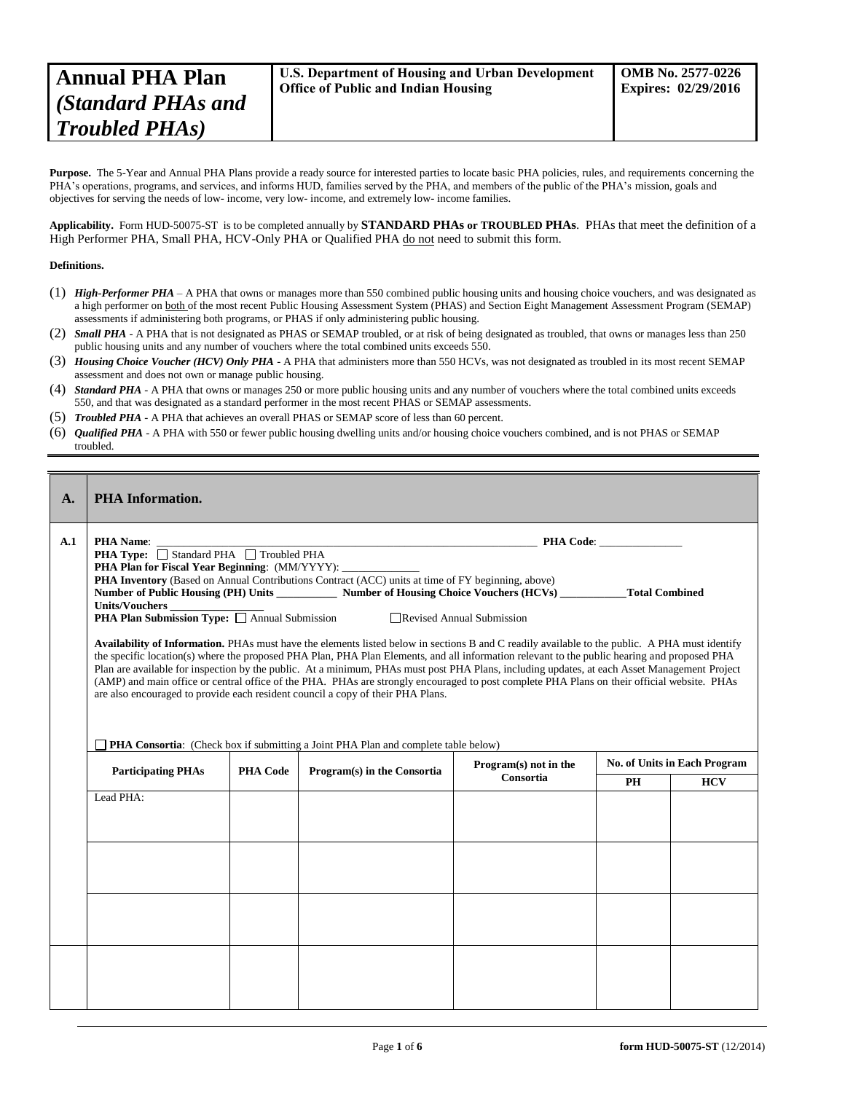Purpose. The 5-Year and Annual PHA Plans provide a ready source for interested parties to locate basic PHA policies, rules, and requirements concerning the PHA's operations, programs, and services, and informs HUD, families served by the PHA, and members of the public of the PHA's mission, goals and objectives for serving the needs of low- income, very low- income, and extremely low- income families.

**Applicability.** Form HUD-50075-ST is to be completed annually by **STANDARD PHAs or TROUBLED PHAs**. PHAs that meet the definition of a High Performer PHA, Small PHA, HCV-Only PHA or Qualified PHA do not need to submit this form.

# **Definitions.**

- (1) *High-Performer PHA* A PHA that owns or manages more than 550 combined public housing units and housing choice vouchers, and was designated as a high performer on both of the most recent Public Housing Assessment System (PHAS) and Section Eight Management Assessment Program (SEMAP) assessments if administering both programs, or PHAS if only administering public housing.
- (2) *Small PHA* A PHA that is not designated as PHAS or SEMAP troubled, or at risk of being designated as troubled, that owns or manages less than 250 public housing units and any number of vouchers where the total combined units exceeds 550.
- (3) *Housing Choice Voucher (HCV) Only PHA* A PHA that administers more than 550 HCVs, was not designated as troubled in its most recent SEMAP assessment and does not own or manage public housing.
- (4) *Standard PHA* A PHA that owns or manages 250 or more public housing units and any number of vouchers where the total combined units exceeds 550, and that was designated as a standard performer in the most recent PHAS or SEMAP assessments.
- (5) *Troubled PHA* **-** A PHA that achieves an overall PHAS or SEMAP score of less than 60 percent.
- (6) *Qualified PHA* A PHA with 550 or fewer public housing dwelling units and/or housing choice vouchers combined, and is not PHAS or SEMAP troubled.

| $\mathbf{A}$ . | <b>PHA</b> Information.                   |                                                                                                                                                                                                                                                                                                                                                                                                                                                                                                                                                                                                                                                                                                                                                                                                                                                                                                                                                                                                                                                                                                                                                                                                                                                                                    |                             |           |    |            |  |
|----------------|-------------------------------------------|------------------------------------------------------------------------------------------------------------------------------------------------------------------------------------------------------------------------------------------------------------------------------------------------------------------------------------------------------------------------------------------------------------------------------------------------------------------------------------------------------------------------------------------------------------------------------------------------------------------------------------------------------------------------------------------------------------------------------------------------------------------------------------------------------------------------------------------------------------------------------------------------------------------------------------------------------------------------------------------------------------------------------------------------------------------------------------------------------------------------------------------------------------------------------------------------------------------------------------------------------------------------------------|-----------------------------|-----------|----|------------|--|
| A.1            | <b>PHA Name:</b><br><b>Units/Vouchers</b> | <b>PHA Code:</b><br><u> 1989 - Johann Harry Harry Harry Harry Harry Harry Harry Harry Harry Harry Harry Harry Harry Harry Harry Harry</u><br><b>PHA Type:</b> Standard PHA Troubled PHA<br><b>PHA Plan for Fiscal Year Beginning:</b> (MM/YYYY):<br>PHA Inventory (Based on Annual Contributions Contract (ACC) units at time of FY beginning, above)<br>Number of Public Housing (PH) Units ___________ Number of Housing Choice Vouchers (HCVs) _________Total Combined<br>Units/Vouchers $\frac{1}{\text{PHA Plan}}$ Submission Type: $\Box$ Annual Submission<br>Revised Annual Submission<br>Availability of Information. PHAs must have the elements listed below in sections B and C readily available to the public. A PHA must identify<br>the specific location(s) where the proposed PHA Plan, PHA Plan Elements, and all information relevant to the public hearing and proposed PHA<br>Plan are available for inspection by the public. At a minimum, PHAs must post PHA Plans, including updates, at each Asset Management Project<br>(AMP) and main office or central office of the PHA. PHAs are strongly encouraged to post complete PHA Plans on their official website. PHAs<br>are also encouraged to provide each resident council a copy of their PHA Plans. |                             |           |    |            |  |
|                |                                           | <b>PHA Consortia:</b> (Check box if submitting a Joint PHA Plan and complete table below)<br><b>No. of Units in Each Program</b><br>Program(s) not in the                                                                                                                                                                                                                                                                                                                                                                                                                                                                                                                                                                                                                                                                                                                                                                                                                                                                                                                                                                                                                                                                                                                          |                             |           |    |            |  |
|                | <b>Participating PHAs</b>                 | <b>PHA Code</b>                                                                                                                                                                                                                                                                                                                                                                                                                                                                                                                                                                                                                                                                                                                                                                                                                                                                                                                                                                                                                                                                                                                                                                                                                                                                    | Program(s) in the Consortia | Consortia | PH | <b>HCV</b> |  |
|                | Lead PHA:                                 |                                                                                                                                                                                                                                                                                                                                                                                                                                                                                                                                                                                                                                                                                                                                                                                                                                                                                                                                                                                                                                                                                                                                                                                                                                                                                    |                             |           |    |            |  |
|                |                                           |                                                                                                                                                                                                                                                                                                                                                                                                                                                                                                                                                                                                                                                                                                                                                                                                                                                                                                                                                                                                                                                                                                                                                                                                                                                                                    |                             |           |    |            |  |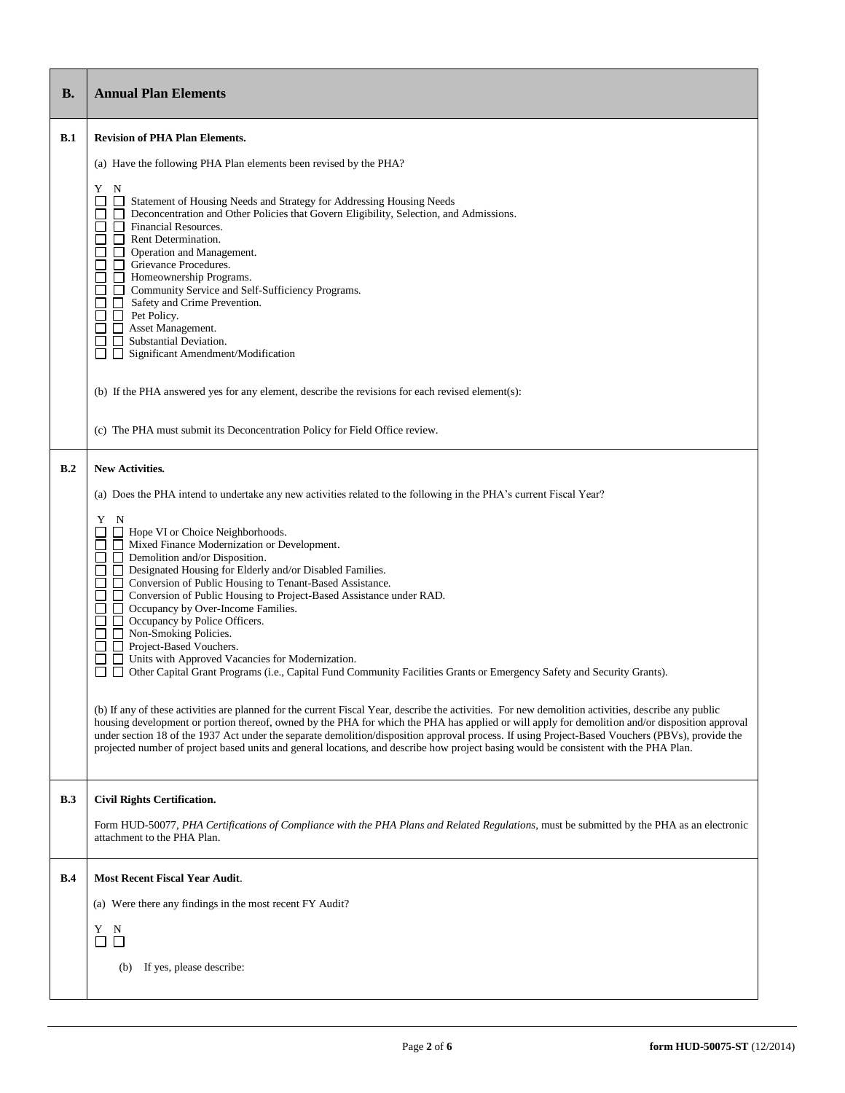| <b>B.</b> | <b>Annual Plan Elements</b>                                                                                                                                                                                                                                                                                                                                                                                                                                                                                                                                                                                                                                                                                                                                                                                                                                                                                                                                                                                                                                                                                                                                                                                                                                                                                                                                                                                                                                                               |  |  |  |  |  |
|-----------|-------------------------------------------------------------------------------------------------------------------------------------------------------------------------------------------------------------------------------------------------------------------------------------------------------------------------------------------------------------------------------------------------------------------------------------------------------------------------------------------------------------------------------------------------------------------------------------------------------------------------------------------------------------------------------------------------------------------------------------------------------------------------------------------------------------------------------------------------------------------------------------------------------------------------------------------------------------------------------------------------------------------------------------------------------------------------------------------------------------------------------------------------------------------------------------------------------------------------------------------------------------------------------------------------------------------------------------------------------------------------------------------------------------------------------------------------------------------------------------------|--|--|--|--|--|
| B.1       | <b>Revision of PHA Plan Elements.</b>                                                                                                                                                                                                                                                                                                                                                                                                                                                                                                                                                                                                                                                                                                                                                                                                                                                                                                                                                                                                                                                                                                                                                                                                                                                                                                                                                                                                                                                     |  |  |  |  |  |
|           | (a) Have the following PHA Plan elements been revised by the PHA?                                                                                                                                                                                                                                                                                                                                                                                                                                                                                                                                                                                                                                                                                                                                                                                                                                                                                                                                                                                                                                                                                                                                                                                                                                                                                                                                                                                                                         |  |  |  |  |  |
|           | Y<br>N<br>Statement of Housing Needs and Strategy for Addressing Housing Needs<br>Deconcentration and Other Policies that Govern Eligibility, Selection, and Admissions.<br>$\Box$<br>Financial Resources.<br>ப<br>П<br>П<br>Rent Determination.<br>Operation and Management.<br>Grievance Procedures.<br>П<br>Homeownership Programs.<br>П<br>□ Community Service and Self-Sufficiency Programs.<br>П<br>Safety and Crime Prevention.<br>$\mathsf{L}$<br>П<br>П<br>Pet Policy.<br>П<br>Asset Management.<br>$\mathsf{L}$<br>Substantial Deviation.<br>Significant Amendment/Modification<br>l I                                                                                                                                                                                                                                                                                                                                                                                                                                                                                                                                                                                                                                                                                                                                                                                                                                                                                          |  |  |  |  |  |
|           | (b) If the PHA answered yes for any element, describe the revisions for each revised element(s):                                                                                                                                                                                                                                                                                                                                                                                                                                                                                                                                                                                                                                                                                                                                                                                                                                                                                                                                                                                                                                                                                                                                                                                                                                                                                                                                                                                          |  |  |  |  |  |
|           | (c) The PHA must submit its Deconcentration Policy for Field Office review.                                                                                                                                                                                                                                                                                                                                                                                                                                                                                                                                                                                                                                                                                                                                                                                                                                                                                                                                                                                                                                                                                                                                                                                                                                                                                                                                                                                                               |  |  |  |  |  |
| B.2       | <b>New Activities.</b><br>(a) Does the PHA intend to undertake any new activities related to the following in the PHA's current Fiscal Year?<br>Y N<br>Hope VI or Choice Neighborhoods.<br>Mixed Finance Modernization or Development.<br>П<br>$\Box$ Demolition and/or Disposition.<br>Designated Housing for Elderly and/or Disabled Families.<br>П<br>П<br>Conversion of Public Housing to Tenant-Based Assistance.<br>$\mathsf{L}$<br>Conversion of Public Housing to Project-Based Assistance under RAD.<br>П<br>$\perp$<br>Occupancy by Over-Income Families.<br>Occupancy by Police Officers.<br>П<br>$\Box$ Non-Smoking Policies.<br>П<br>Project-Based Vouchers.<br>Units with Approved Vacancies for Modernization.<br>ΓI<br>Other Capital Grant Programs (i.e., Capital Fund Community Facilities Grants or Emergency Safety and Security Grants).<br>□<br>$\mathsf{L}$<br>(b) If any of these activities are planned for the current Fiscal Year, describe the activities. For new demolition activities, describe any public<br>housing development or portion thereof, owned by the PHA for which the PHA has applied or will apply for demolition and/or disposition approval<br>under section 18 of the 1937 Act under the separate demolition/disposition approval process. If using Project-Based Vouchers (PBVs), provide the<br>projected number of project based units and general locations, and describe how project basing would be consistent with the PHA Plan. |  |  |  |  |  |
| B.3       | <b>Civil Rights Certification.</b>                                                                                                                                                                                                                                                                                                                                                                                                                                                                                                                                                                                                                                                                                                                                                                                                                                                                                                                                                                                                                                                                                                                                                                                                                                                                                                                                                                                                                                                        |  |  |  |  |  |
|           | Form HUD-50077, PHA Certifications of Compliance with the PHA Plans and Related Regulations, must be submitted by the PHA as an electronic<br>attachment to the PHA Plan.                                                                                                                                                                                                                                                                                                                                                                                                                                                                                                                                                                                                                                                                                                                                                                                                                                                                                                                                                                                                                                                                                                                                                                                                                                                                                                                 |  |  |  |  |  |
| B.4       | <b>Most Recent Fiscal Year Audit.</b>                                                                                                                                                                                                                                                                                                                                                                                                                                                                                                                                                                                                                                                                                                                                                                                                                                                                                                                                                                                                                                                                                                                                                                                                                                                                                                                                                                                                                                                     |  |  |  |  |  |
|           | (a) Were there any findings in the most recent FY Audit?                                                                                                                                                                                                                                                                                                                                                                                                                                                                                                                                                                                                                                                                                                                                                                                                                                                                                                                                                                                                                                                                                                                                                                                                                                                                                                                                                                                                                                  |  |  |  |  |  |
|           | N<br>Y<br>$\Box$<br>$\Box$                                                                                                                                                                                                                                                                                                                                                                                                                                                                                                                                                                                                                                                                                                                                                                                                                                                                                                                                                                                                                                                                                                                                                                                                                                                                                                                                                                                                                                                                |  |  |  |  |  |
|           | If yes, please describe:<br>(b)                                                                                                                                                                                                                                                                                                                                                                                                                                                                                                                                                                                                                                                                                                                                                                                                                                                                                                                                                                                                                                                                                                                                                                                                                                                                                                                                                                                                                                                           |  |  |  |  |  |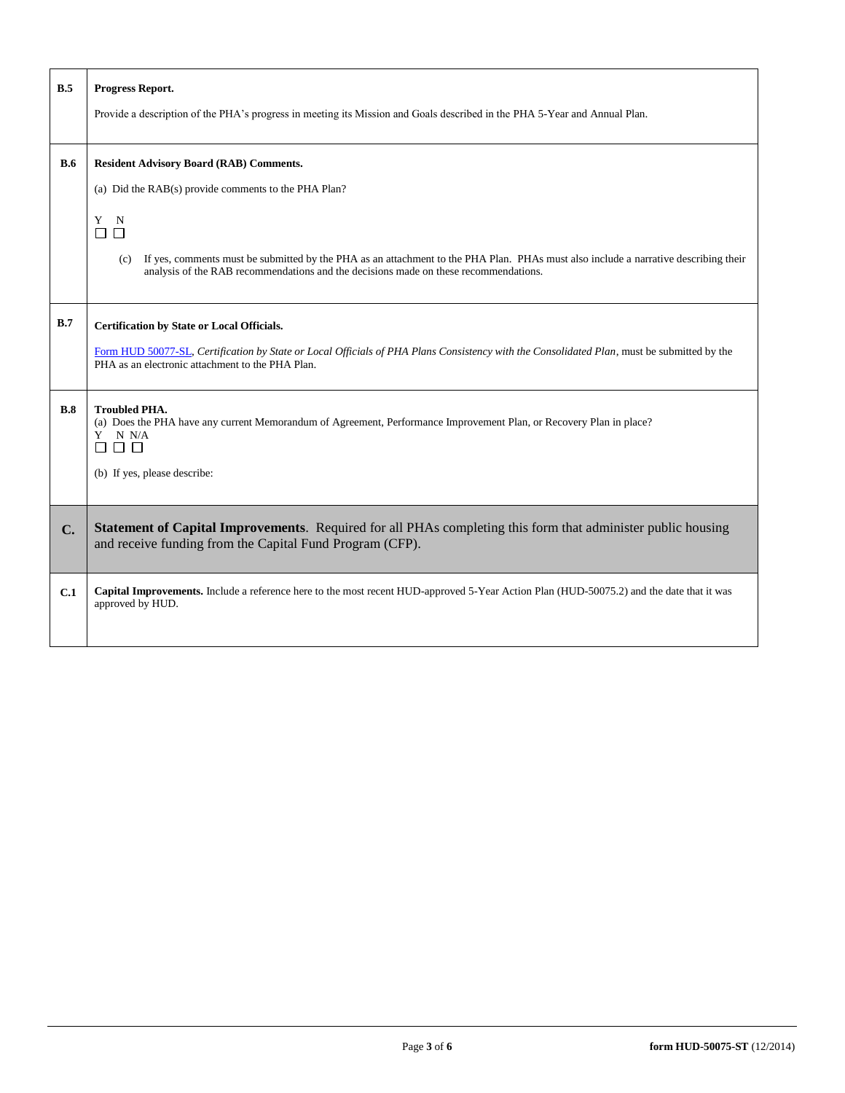| B.5 | Progress Report.                                                                                                                                                                                                                   |  |  |  |  |  |
|-----|------------------------------------------------------------------------------------------------------------------------------------------------------------------------------------------------------------------------------------|--|--|--|--|--|
|     | Provide a description of the PHA's progress in meeting its Mission and Goals described in the PHA 5-Year and Annual Plan.                                                                                                          |  |  |  |  |  |
| B.6 | <b>Resident Advisory Board (RAB) Comments.</b>                                                                                                                                                                                     |  |  |  |  |  |
|     | (a) Did the RAB(s) provide comments to the PHA Plan?                                                                                                                                                                               |  |  |  |  |  |
|     | Y<br>$\mathbf N$<br>□<br>$\Box$                                                                                                                                                                                                    |  |  |  |  |  |
|     | If yes, comments must be submitted by the PHA as an attachment to the PHA Plan. PHAs must also include a narrative describing their<br>(c)<br>analysis of the RAB recommendations and the decisions made on these recommendations. |  |  |  |  |  |
| B.7 | Certification by State or Local Officials.                                                                                                                                                                                         |  |  |  |  |  |
|     | Form HUD 50077-SL, Certification by State or Local Officials of PHA Plans Consistency with the Consolidated Plan, must be submitted by the<br>PHA as an electronic attachment to the PHA Plan.                                     |  |  |  |  |  |
| B.8 | <b>Troubled PHA.</b><br>(a) Does the PHA have any current Memorandum of Agreement, Performance Improvement Plan, or Recovery Plan in place?<br>Y N N/A                                                                             |  |  |  |  |  |
|     | (b) If yes, please describe:                                                                                                                                                                                                       |  |  |  |  |  |
| C.  | Statement of Capital Improvements. Required for all PHAs completing this form that administer public housing<br>and receive funding from the Capital Fund Program (CFP).                                                           |  |  |  |  |  |
| C.1 | Capital Improvements. Include a reference here to the most recent HUD-approved 5-Year Action Plan (HUD-50075.2) and the date that it was<br>approved by HUD.                                                                       |  |  |  |  |  |

Г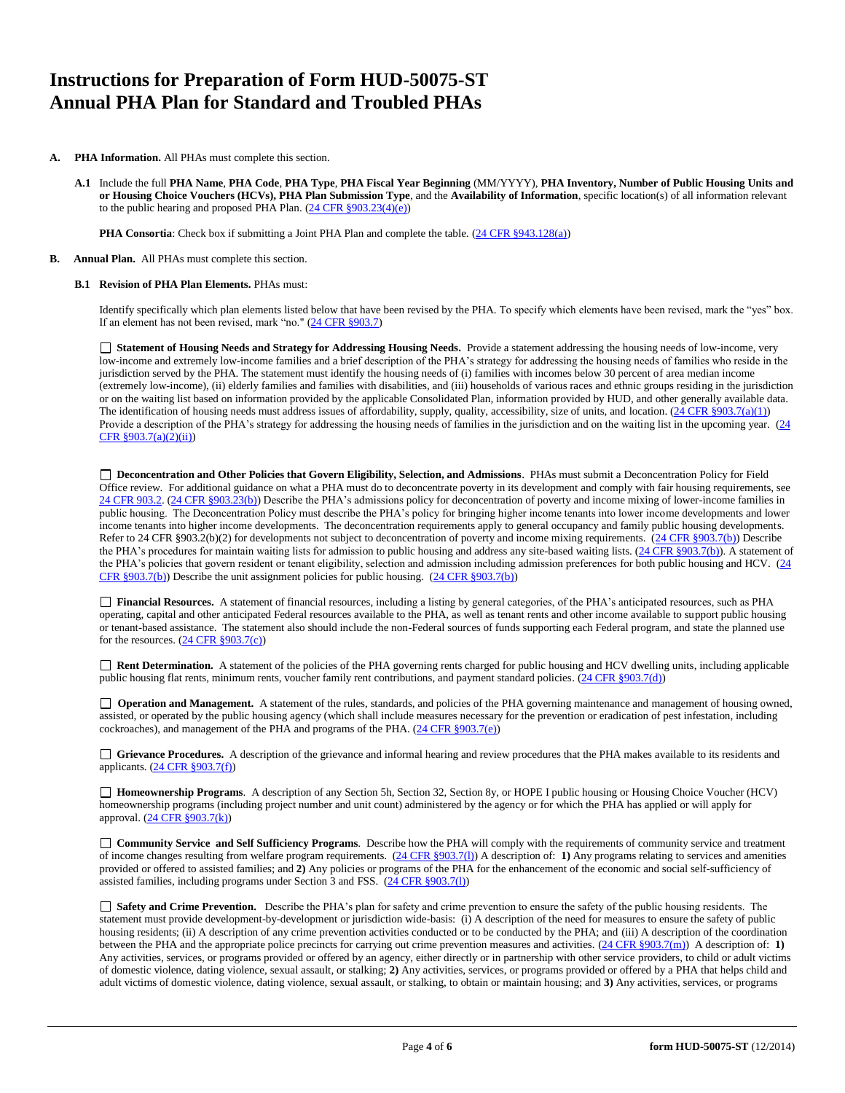# **Instructions for Preparation of Form HUD-50075-ST Annual PHA Plan for Standard and Troubled PHAs**

- **A. PHA Information.** All PHAs must complete this section.
	- **A.1** Include the full **PHA Name**, **PHA Code**, **PHA Type**, **PHA Fiscal Year Beginning** (MM/YYYY), **PHA Inventory, Number of Public Housing Units and or Housing Choice Vouchers (HCVs), PHA Plan Submission Type**, and the **Availability of Information**, specific location(s) of all information relevant to the public hearing and proposed PHA Plan. [\(24 CFR §903.23\(4\)\(e\)\)](http://ecfr.gpoaccess.gov/cgi/t/text/text-idx?c=ecfr&sid=13734845220744370804c20da2294a03&rgn=div5&view=text&node=24:4.0.3.1.3&idno=24#24:4.0.3.1.3.2.5.14)

**PHA Consortia**: Check box if submitting a Joint PHA Plan and complete the table. [\(24 CFR §943.128\(a\)\)](http://ecfr.gpoaccess.gov/cgi/t/text/text-idx?c=ecfr&sid=cc31cf1c3a2b84ba4ead75d35d258f67&rgn=div5&view=text&node=24:4.0.3.1.10&idno=24#24:4.0.3.1.10.2.5.7)

## **B. Annual Plan.** All PHAs must complete this section.

### **B.1 Revision of PHA Plan Elements.** PHAs must:

Identify specifically which plan elements listed below that have been revised by the PHA. To specify which elements have been revised, mark the "yes" box. If an element has not been revised, mark "no." [\(24 CFR §903.7\)](http://ecfr.gpoaccess.gov/cgi/t/text/text-idx?c=ecfr&sid=13734845220744370804c20da2294a03&rgn=div5&view=text&node=24:4.0.3.1.3&idno=24#24:4.0.3.1.3.2.5.5)

 **Statement of Housing Needs and Strategy for Addressing Housing Needs.** Provide a statement addressing the housing needs of low-income, very low-income and extremely low-income families and a brief description of the PHA's strategy for addressing the housing needs of families who reside in the jurisdiction served by the PHA. The statement must identify the housing needs of (i) families with incomes below 30 percent of area median income (extremely low-income), (ii) elderly families and families with disabilities, and (iii) households of various races and ethnic groups residing in the jurisdiction or on the waiting list based on information provided by the applicable Consolidated Plan, information provided by HUD, and other generally available data. The identification of housing needs must address issues of affordability, supply, quality, accessibility, size of units, and location.  $(24 \text{ CFR } \text{$903.7(a)(1)}$ Provide a description of the PHA's strategy for addressing the housing needs of families in the jurisdiction and on the waiting list in the upcoming year.  $(24)$ [CFR §903.7\(a\)\(2\)\(ii\)\)](http://ecfr.gpoaccess.gov/cgi/t/text/text-idx?c=ecfr&sid=13734845220744370804c20da2294a03&rgn=div5&view=text&node=24:4.0.3.1.3&idno=24#24:4.0.3.1.3.2.5.5)

 **Deconcentration and Other Policies that Govern Eligibility, Selection, and Admissions**. PHAs must submit a Deconcentration Policy for Field Office review. For additional guidance on what a PHA must do to deconcentrate poverty in its development and comply with fair housing requirements, see [24 CFR 903.2.](http://ecfr.gpoaccess.gov/cgi/t/text/text-idx?c=ecfr&sid=31b6a8e6f1110b36cc115eb6e4d5e3b4&rgn=div5&view=text&node=24:4.0.3.1.3&idno=24#24:4.0.3.1.3.1.5.2) [\(24 CFR §903.23\(b\)\)](http://ecfr.gpoaccess.gov/cgi/t/text/text-idx?c=ecfr&sid=13734845220744370804c20da2294a03&rgn=div5&view=text&node=24:4.0.3.1.3&idno=24#24:4.0.3.1.3.2.5.9) Describe the PHA's admissions policy for deconcentration of poverty and income mixing of lower-income families in public housing. The Deconcentration Policy must describe the PHA's policy for bringing higher income tenants into lower income developments and lower income tenants into higher income developments. The deconcentration requirements apply to general occupancy and family public housing developments. Refer to 24 CFR §903.2(b)(2) for developments not subject to deconcentration of poverty and income mixing requirements. [\(24 CFR §903.7\(b\)\)](http://ecfr.gpoaccess.gov/cgi/t/text/text-idx?c=ecfr&sid=b44bf19bef93dd31287608d2c687e271&rgn=div5&view=text&node=24:4.0.3.1.3&idno=24#24:4.0.3.1.3.2.5.5) Describe the PHA's procedures for maintain waiting lists for admission to public housing and address any site-based waiting lists. [\(24 CFR §903.7\(b\)\)](http://ecfr.gpoaccess.gov/cgi/t/text/text-idx?c=ecfr&sid=b44bf19bef93dd31287608d2c687e271&rgn=div5&view=text&node=24:4.0.3.1.3&idno=24#24:4.0.3.1.3.2.5.5). A statement of the PHA's policies that govern resident or tenant eligibility, selection and admission including admission preferences for both public housing and HCV. (24) [CFR §903.7\(b\)\)](http://ecfr.gpoaccess.gov/cgi/t/text/text-idx?c=ecfr&sid=b44bf19bef93dd31287608d2c687e271&rgn=div5&view=text&node=24:4.0.3.1.3&idno=24#24:4.0.3.1.3.2.5.5) Describe the unit assignment policies for public housing. [\(24 CFR §903.7\(b\)\)](http://ecfr.gpoaccess.gov/cgi/t/text/text-idx?c=ecfr&sid=b44bf19bef93dd31287608d2c687e271&rgn=div5&view=text&node=24:4.0.3.1.3&idno=24#24:4.0.3.1.3.2.5.5)

 **Financial Resources.** A statement of financial resources, including a listing by general categories, of the PHA's anticipated resources, such as PHA operating, capital and other anticipated Federal resources available to the PHA, as well as tenant rents and other income available to support public housing or tenant-based assistance. The statement also should include the non-Federal sources of funds supporting each Federal program, and state the planned use for the resources. [\(24 CFR §903.7\(c\)\)](http://ecfr.gpoaccess.gov/cgi/t/text/text-idx?c=ecfr&sid=b44bf19bef93dd31287608d2c687e271&rgn=div5&view=text&node=24:4.0.3.1.3&idno=24)

■ **Rent Determination.** A statement of the policies of the PHA governing rents charged for public housing and HCV dwelling units, including applicable public housing flat rents, minimum rents, voucher family rent contributions, and payment standard policies. [\(24 CFR §903.7\(d\)\)](http://ecfr.gpoaccess.gov/cgi/t/text/text-idx?c=ecfr&sid=b44bf19bef93dd31287608d2c687e271&rgn=div5&view=text&node=24:4.0.3.1.3&idno=24#24:4.0.3.1.3.2.5.5)

□ **Operation and Management.** A statement of the rules, standards, and policies of the PHA governing maintenance and management of housing owned, assisted, or operated by the public housing agency (which shall include measures necessary for the prevention or eradication of pest infestation, including cockroaches), and management of the PHA and programs of the PHA. [\(24 CFR §903.7\(e\)\)](http://ecfr.gpoaccess.gov/cgi/t/text/text-idx?c=ecfr&sid=b44bf19bef93dd31287608d2c687e271&rgn=div5&view=text&node=24:4.0.3.1.3&idno=24#24:4.0.3.1.3.2.5.5)

 **Grievance Procedures.** A description of the grievance and informal hearing and review procedures that the PHA makes available to its residents and applicants. [\(24 CFR §903.7\(f\)\)](http://ecfr.gpoaccess.gov/cgi/t/text/text-idx?c=ecfr&sid=b44bf19bef93dd31287608d2c687e271&rgn=div5&view=text&node=24:4.0.3.1.3&idno=24#24:4.0.3.1.3.2.5.5)

 **Homeownership Programs**. A description of any Section 5h, Section 32, Section 8y, or HOPE I public housing or Housing Choice Voucher (HCV) homeownership programs (including project number and unit count) administered by the agency or for which the PHA has applied or will apply for approval. [\(24 CFR §903.7\(k\)\)](http://ecfr.gpoaccess.gov/cgi/t/text/text-idx?c=ecfr&sid=b44bf19bef93dd31287608d2c687e271&rgn=div5&view=text&node=24:4.0.3.1.3&idno=24#24:4.0.3.1.3.2.5.5)

 **Community Service and Self Sufficiency Programs**. Describe how the PHA will comply with the requirements of community service and treatment of income changes resulting from welfare program requirements. [\(24 CFR §903.7\(l\)\)](http://ecfr.gpoaccess.gov/cgi/t/text/text-idx?c=ecfr&sid=13734845220744370804c20da2294a03&rgn=div5&view=text&node=24:4.0.3.1.3&idno=24#24:4.0.3.1.3.2.5.5) A description of: **1)** Any programs relating to services and amenities provided or offered to assisted families; and **2)** Any policies or programs of the PHA for the enhancement of the economic and social self-sufficiency of assisted families, including programs under Section 3 and FSS. [\(24 CFR §903.7\(l\)\)](http://ecfr.gpoaccess.gov/cgi/t/text/text-idx?c=ecfr&sid=b44bf19bef93dd31287608d2c687e271&rgn=div5&view=text&node=24:4.0.3.1.3&idno=24#24:4.0.3.1.3.2.5.5)

 **Safety and Crime Prevention.** Describe the PHA's plan for safety and crime prevention to ensure the safety of the public housing residents. The statement must provide development-by-development or jurisdiction wide-basis: (i) A description of the need for measures to ensure the safety of public housing residents; (ii) A description of any crime prevention activities conducted or to be conducted by the PHA; and (iii) A description of the coordination between the PHA and the appropriate police precincts for carrying out crime prevention measures and activities. [\(24 CFR §903.7\(m\)\)](http://ecfr.gpoaccess.gov/cgi/t/text/text-idx?c=ecfr&sid=13734845220744370804c20da2294a03&rgn=div5&view=text&node=24:4.0.3.1.3&idno=24#24:4.0.3.1.3.2.5.5) A description of: **1)** Any activities, services, or programs provided or offered by an agency, either directly or in partnership with other service providers, to child or adult victims of domestic violence, dating violence, sexual assault, or stalking; **2)** Any activities, services, or programs provided or offered by a PHA that helps child and adult victims of domestic violence, dating violence, sexual assault, or stalking, to obtain or maintain housing; and **3)** Any activities, services, or programs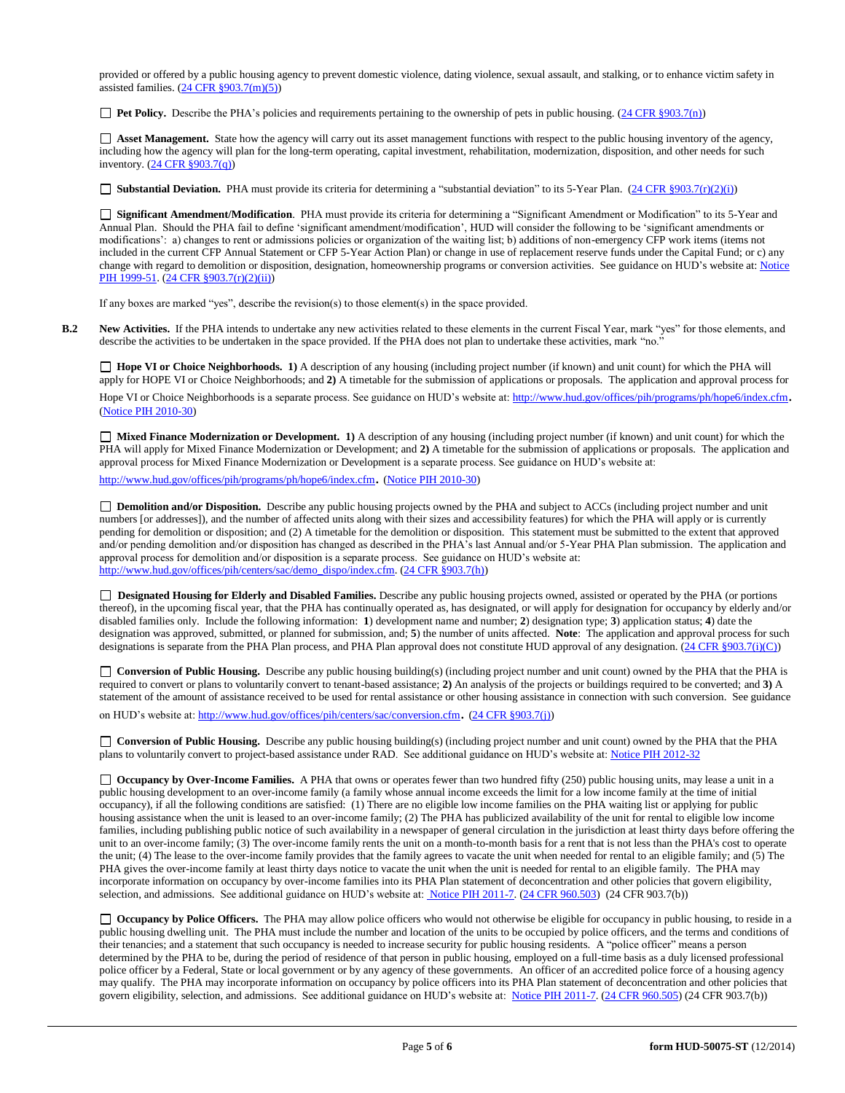provided or offered by a public housing agency to prevent domestic violence, dating violence, sexual assault, and stalking, or to enhance victim safety in assisted families.  $(24 \text{ CFR } \text{\textless} 903.7 \text{(m)}(5))$ 

**Pet Policy.** Describe the PHA's policies and requirements pertaining to the ownership of pets in public housing. [\(24 CFR §903.7\(n\)\)](http://ecfr.gpoaccess.gov/cgi/t/text/text-idx?c=ecfr&sid=13734845220744370804c20da2294a03&rgn=div5&view=text&node=24:4.0.3.1.3&idno=24#24:4.0.3.1.3.2.5.5)

 **Asset Management.** State how the agency will carry out its asset management functions with respect to the public housing inventory of the agency, including how the agency will plan for the long-term operating, capital investment, rehabilitation, modernization, disposition, and other needs for such inventory. [\(24 CFR §903.7\(q\)\)](http://ecfr.gpoaccess.gov/cgi/t/text/text-idx?c=ecfr&sid=13734845220744370804c20da2294a03&rgn=div5&view=text&node=24:4.0.3.1.3&idno=24#24:4.0.3.1.3.2.5.5)

■ **Substantial Deviation.** PHA must provide its criteria for determining a "substantial deviation" to its 5-Year Plan. [\(24 CFR §903.7\(r\)\(2\)\(i\)\)](http://ecfr.gpoaccess.gov/cgi/t/text/text-idx?c=ecfr&sid=13734845220744370804c20da2294a03&rgn=div5&view=text&node=24:4.0.3.1.3&idno=24#24:4.0.3.1.3.2.5.5)

 **Significant Amendment/Modification**. PHA must provide its criteria for determining a "Significant Amendment or Modification" to its 5-Year and Annual Plan. Should the PHA fail to define 'significant amendment/modification', HUD will consider the following to be 'significant amendments or modifications': a) changes to rent or admissions policies or organization of the waiting list; b) additions of non-emergency CFP work items (items not included in the current CFP Annual Statement or CFP 5-Year Action Plan) or change in use of replacement reserve funds under the Capital Fund; or c) any change with regard to demolition or disposition, designation, homeownership programs or conversion activities. See guidance on HUD's website at: Notice [PIH 1999-51.](http://portal.hud.gov/hudportal/HUD?src=/program_offices/administration/hudclips/notices/pih) [\(24 CFR §903.7\(r\)\(2\)\(ii\)\)](http://ecfr.gpoaccess.gov/cgi/t/text/text-idx?c=ecfr&sid=13734845220744370804c20da2294a03&rgn=div5&view=text&node=24:4.0.3.1.3&idno=24#24:4.0.3.1.3.2.5.5)

If any boxes are marked "yes", describe the revision(s) to those element(s) in the space provided.

**B.2 New Activities.** If the PHA intends to undertake any new activities related to these elements in the current Fiscal Year, mark "yes" for those elements, and describe the activities to be undertaken in the space provided. If the PHA does not plan to undertake these activities, mark "no."

□ **Hope VI** or Choice Neighborhoods. 1) A description of any housing (including project number (if known) and unit count) for which the PHA will apply for HOPE VI or Choice Neighborhoods; and **2)** A timetable for the submission of applications or proposals. The application and approval process for

Hope VI or Choice Neighborhoods is a separate process. See guidance on HUD's website at[: http://www.hud.gov/offices/pih/programs/ph/hope6/index.cfm](http://www.hud.gov/offices/pih/programs/ph/hope6/index.cfm). [\(Notice PIH 2010-30\)](http://www.hud.gov/offices/adm/hudclips/notices/pih/07pihnotices.cfm)

 **Mixed Finance Modernization or Development. 1)** A description of any housing (including project number (if known) and unit count) for which the PHA will apply for Mixed Finance Modernization or Development; and **2)** A timetable for the submission of applications or proposals. The application and approval process for Mixed Finance Modernization or Development is a separate process. See guidance on HUD's website at:

<http://www.hud.gov/offices/pih/programs/ph/hope6/index.cfm>. [\(Notice PIH 2010-30\)](http://www.hud.gov/offices/adm/hudclips/notices/pih/07pihnotices.cfm)

 **Demolition and/or Disposition.** Describe any public housing projects owned by the PHA and subject to ACCs (including project number and unit numbers [or addresses]), and the number of affected units along with their sizes and accessibility features) for which the PHA will apply or is currently pending for demolition or disposition; and (2) A timetable for the demolition or disposition. This statement must be submitted to the extent that approved and/or pending demolition and/or disposition has changed as described in the PHA's last Annual and/or 5-Year PHA Plan submission. The application and approval process for demolition and/or disposition is a separate process. See guidance on HUD's website at: [http://www.hud.gov/offices/pih/centers/sac/demo\\_dispo/index.cfm.](http://www.hud.gov/offices/pih/centers/sac/demo_dispo/index.cfm) [\(24 CFR §903.7\(h\)\)](http://ecfr.gpoaccess.gov/cgi/t/text/text-idx?c=ecfr&sid=13734845220744370804c20da2294a03&rgn=div5&view=text&node=24:4.0.3.1.3&idno=24#24:4.0.3.1.3.2.5.5)

**Designated Housing for Elderly and Disabled Families.** Describe any public housing projects owned, assisted or operated by the PHA (or portions thereof), in the upcoming fiscal year, that the PHA has continually operated as, has designated, or will apply for designation for occupancy by elderly and/or disabled families only. Include the following information: **1**) development name and number; **2**) designation type; **3**) application status; **4**) date the designation was approved, submitted, or planned for submission, and; **5**) the number of units affected. **Note**: The application and approval process for such designations is separate from the PHA Plan process, and PHA Plan approval does not constitute HUD approval of any designation.  $(24 \text{ CFR }$  §903.7(i)(C))

**Conversion of Public Housing.** Describe any public housing building(s) (including project number and unit count) owned by the PHA that the PHA is required to convert or plans to voluntarily convert to tenant-based assistance; **2)** An analysis of the projects or buildings required to be converted; and **3)** A statement of the amount of assistance received to be used for rental assistance or other housing assistance in connection with such conversion. See guidance

on HUD's website at[: http://www.hud.gov/offices/pih/centers/sac/conversion.cfm](http://www.hud.gov/offices/pih/centers/sac/conversion.cfm). [\(24 CFR §903.7\(j\)\)](http://ecfr.gpoaccess.gov/cgi/t/text/text-idx?c=ecfr&sid=13734845220744370804c20da2294a03&rgn=div5&view=text&node=24:4.0.3.1.3&idno=24#24:4.0.3.1.3.2.5.5)

**Conversion of Public Housing.** Describe any public housing building(s) (including project number and unit count) owned by the PHA that the PHA plans to voluntarily convert to project-based assistance under RAD. See additional guidance on HUD's website at: [Notice PIH 2012-32](http://portal.hud.gov/hudportal/HUD?src=/program_offices/administration/hudclips/notices/pih/12pihnotices)

◯ Occupancy by Over-Income Families. A PHA that owns or operates fewer than two hundred fifty (250) public housing units, may lease a unit in a public housing development to an over-income family (a family whose annual income exceeds the limit for a low income family at the time of initial occupancy), if all the following conditions are satisfied: (1) There are no eligible low income families on the PHA waiting list or applying for public housing assistance when the unit is leased to an over-income family; (2) The PHA has publicized availability of the unit for rental to eligible low income families, including publishing public notice of such availability in a newspaper of general circulation in the jurisdiction at least thirty days before offering the unit to an over-income family; (3) The over-income family rents the unit on a month-to-month basis for a rent that is not less than the PHA's cost to operate the unit; (4) The lease to the over-income family provides that the family agrees to vacate the unit when needed for rental to an eligible family; and (5) The PHA gives the over-income family at least thirty days notice to vacate the unit when the unit is needed for rental to an eligible family. The PHA may incorporate information on occupancy by over-income families into its PHA Plan statement of deconcentration and other policies that govern eligibility, selection, and admissions. See additional guidance on HUD's website at[: Notice PIH 2011-7.](http://portal.hud.gov/hudportal/HUD?src=/program_offices/administration/hudclips/notices/pih) [\(24 CFR 960.503\)](http://ecfr.gpoaccess.gov/cgi/t/text/text-idx?c=ecfr&sid=fa64c7c83a160f7c42da881396459a31&rgn=div5&view=text&node=24:4.0.3.1.13&idno=24#24:4.0.3.1.13.5.5.1) (24 CFR 903.7(b))

□ **Occupancy by Police Officers.** The PHA may allow police officers who would not otherwise be eligible for occupancy in public housing, to reside in a public housing dwelling unit. The PHA must include the number and location of the units to be occupied by police officers, and the terms and conditions of their tenancies; and a statement that such occupancy is needed to increase security for public housing residents. A "police officer" means a person determined by the PHA to be, during the period of residence of that person in public housing, employed on a full-time basis as a duly licensed professional police officer by a Federal, State or local government or by any agency of these governments. An officer of an accredited police force of a housing agency may qualify. The PHA may incorporate information on occupancy by police officers into its PHA Plan statement of deconcentration and other policies that govern eligibility, selection, and admissions. See additional guidance on HUD's website at: [Notice PIH 2011-7.](http://portal.hud.gov/hudportal/HUD?src=/program_offices/administration/hudclips/notices/pih) [\(24 CFR 960.505\)](http://ecfr.gpoaccess.gov/cgi/t/text/text-idx?c=ecfr&sid=fa64c7c83a160f7c42da881396459a31&rgn=div5&view=text&node=24:4.0.3.1.13&idno=24#24:4.0.3.1.13.5.5.2) (24 CFR 903.7(b))